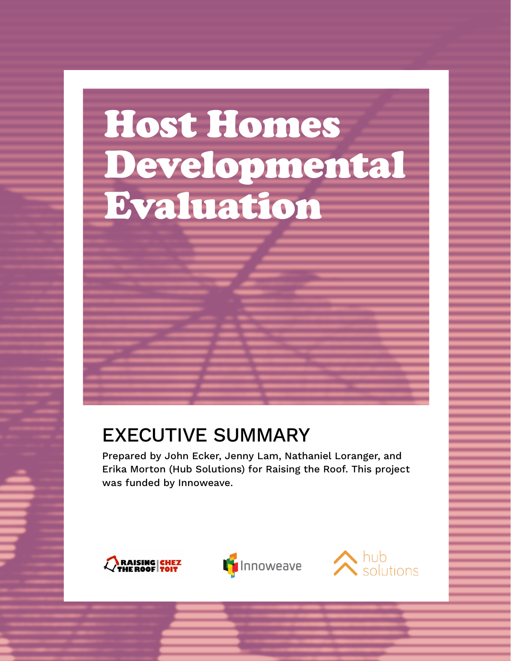# Host Homes Developmental Evaluation

#### EXECUTIVE SUMMARY

Prepared by John Ecker, Jenny Lam, Nathaniel Loranger, and Erika Morton (Hub Solutions) for Raising the Roof. This project was funded by Innoweave.





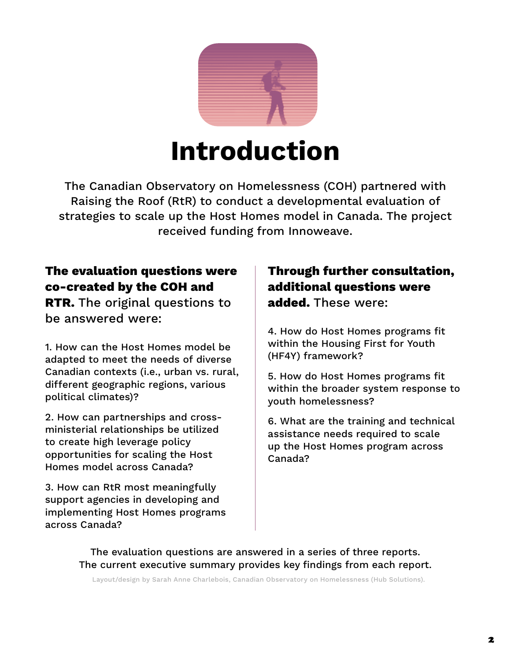

## **Introduction**

The Canadian Observatory on Homelessness (COH) partnered with Raising the Roof (RtR) to conduct a developmental evaluation of strategies to scale up the Host Homes model in Canada. The project received funding from Innoweave.

#### **The evaluation questions were co-created by the COH and**

**RTR.** The original questions to be answered were:

1. How can the Host Homes model be adapted to meet the needs of diverse Canadian contexts (i.e., urban vs. rural, different geographic regions, various political climates)?

2. How can partnerships and crossministerial relationships be utilized to create high leverage policy opportunities for scaling the Host Homes model across Canada?

3. How can RtR most meaningfully support agencies in developing and implementing Host Homes programs across Canada?

#### **Through further consultation, additional questions were added.** These were:

4. How do Host Homes programs fit within the Housing First for Youth (HF4Y) framework?

5. How do Host Homes programs fit within the broader system response to youth homelessness?

6. What are the training and technical assistance needs required to scale up the Host Homes program across Canada?

The evaluation questions are answered in a series of three reports. The current executive summary provides key findings from each report.

Layout/design by Sarah Anne Charlebois, Canadian Observatory on Homelessness (Hub Solutions).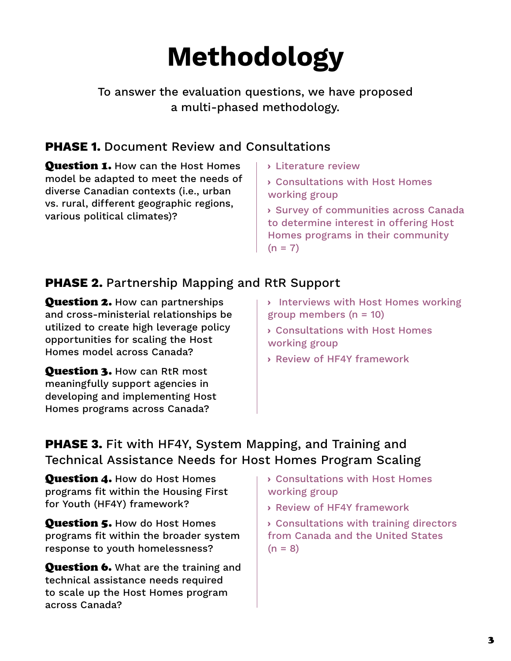## **Methodology**

#### To answer the evaluation questions, we have proposed a multi-phased methodology.

#### **PHASE 1.** Document Review and Consultations

Question 1. How can the Host Homes model be adapted to meet the needs of diverse Canadian contexts (i.e., urban vs. rural, different geographic regions, various political climates)?

- › Literature review
- › Consultations with Host Homes working group
- › Survey of communities across Canada to determine interest in offering Host Homes programs in their community  $(n = 7)$

#### **PHASE 2.** Partnership Mapping and RtR Support

Question 2. How can partnerships and cross-ministerial relationships be utilized to create high leverage policy opportunities for scaling the Host Homes model across Canada?

**Question 3. How can RtR most** meaningfully support agencies in developing and implementing Host Homes programs across Canada?

- › Interviews with Host Homes working group members  $(n = 10)$
- › Consultations with Host Homes working group
- › Review of HF4Y framework

#### **PHASE 3.** Fit with HF4Y, System Mapping, and Training and Technical Assistance Needs for Host Homes Program Scaling

**Question 4.** How do Host Homes programs fit within the Housing First for Youth (HF4Y) framework?

**Question 5. How do Host Homes** programs fit within the broader system response to youth homelessness?

**Question 6.** What are the training and technical assistance needs required to scale up the Host Homes program across Canada?

- › Consultations with Host Homes working group
- › Review of HF4Y framework

› Consultations with training directors from Canada and the United States  $(n = 8)$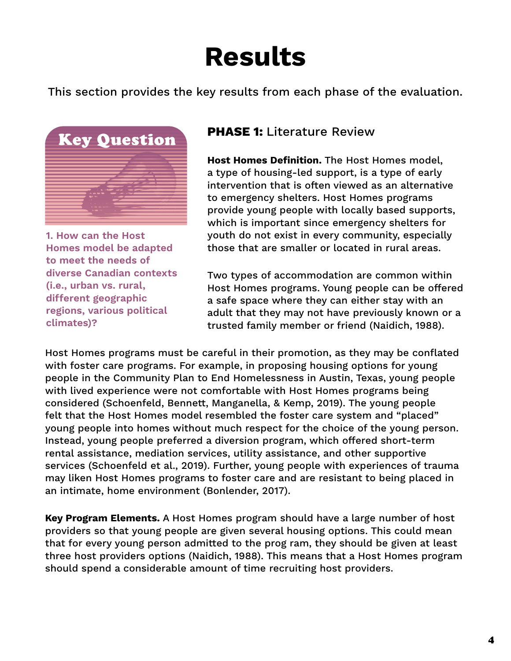## **Results**

This section provides the key results from each phase of the evaluation.



**1. How can the Host Homes model be adapted to meet the needs of diverse Canadian contexts (i.e., urban vs. rural, different geographic regions, various political climates)?**

#### **PHASE 1:** Literature Review

**Host Homes Definition.** The Host Homes model, a type of housing-led support, is a type of early intervention that is often viewed as an alternative to emergency shelters. Host Homes programs provide young people with locally based supports, which is important since emergency shelters for youth do not exist in every community, especially those that are smaller or located in rural areas.

Two types of accommodation are common within Host Homes programs. Young people can be offered a safe space where they can either stay with an adult that they may not have previously known or a trusted family member or friend (Naidich, 1988).

Host Homes programs must be careful in their promotion, as they may be conflated with foster care programs. For example, in proposing housing options for young people in the Community Plan to End Homelessness in Austin, Texas, young people with lived experience were not comfortable with Host Homes programs being considered (Schoenfeld, Bennett, Manganella, & Kemp, 2019). The young people felt that the Host Homes model resembled the foster care system and "placed" young people into homes without much respect for the choice of the young person. Instead, young people preferred a diversion program, which offered short-term rental assistance, mediation services, utility assistance, and other supportive services (Schoenfeld et al., 2019). Further, young people with experiences of trauma may liken Host Homes programs to foster care and are resistant to being placed in an intimate, home environment (Bonlender, 2017).

**Key Program Elements.** A Host Homes program should have a large number of host providers so that young people are given several housing options. This could mean that for every young person admitted to the prog ram, they should be given at least three host providers options (Naidich, 1988). This means that a Host Homes program should spend a considerable amount of time recruiting host providers.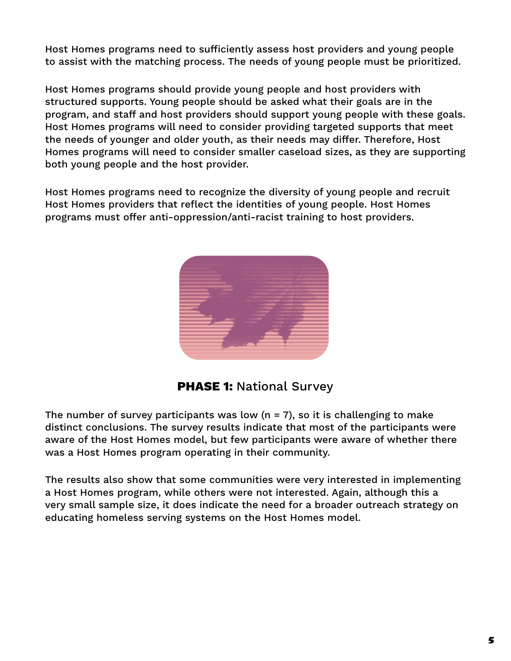Host Homes programs need to sufficiently assess host providers and young people to assist with the matching process. The needs of young people must be prioritized.

Host Homes programs should provide young people and host providers with structured supports. Young people should be asked what their goals are in the program, and staff and host providers should support young people with these goals. Host Homes programs will need to consider providing targeted supports that meet the needs of younger and older youth, as their needs may differ. Therefore, Host Homes programs will need to consider smaller caseload sizes, as they are supporting both young people and the host provider.

Host Homes programs need to recognize the diversity of young people and recruit Host Homes providers that reflect the identities of young people. Host Homes programs must offer anti-oppression/anti-racist training to host providers.



**PHASE 1: National Survey** 

The number of survey participants was low  $(n = 7)$ , so it is challenging to make distinct conclusions. The survey results indicate that most of the participants were aware of the Host Homes model, but few participants were aware of whether there was a Host Homes program operating in their community.

The results also show that some communities were very interested in implementing a Host Homes program, while others were not interested. Again, although this a very small sample size, it does indicate the need for a broader outreach strategy on educating homeless serving systems on the Host Homes model.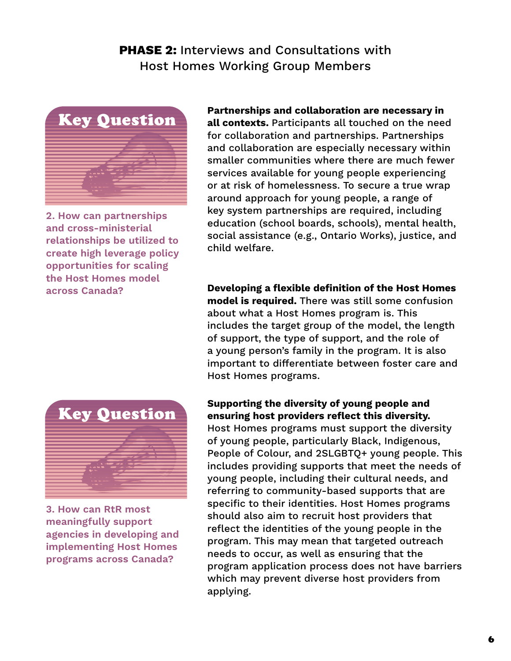#### **PHASE 2: Interviews and Consultations with** Host Homes Working Group Members



**2. How can partnerships and cross-ministerial relationships be utilized to create high leverage policy opportunities for scaling the Host Homes model across Canada?**

**Partnerships and collaboration are necessary in all contexts.** Participants all touched on the need for collaboration and partnerships. Partnerships and collaboration are especially necessary within smaller communities where there are much fewer services available for young people experiencing or at risk of homelessness. To secure a true wrap around approach for young people, a range of key system partnerships are required, including education (school boards, schools), mental health, social assistance (e.g., Ontario Works), justice, and child welfare.

**Developing a flexible definition of the Host Homes model is required.** There was still some confusion about what a Host Homes program is. This includes the target group of the model, the length of support, the type of support, and the role of a young person's family in the program. It is also important to differentiate between foster care and Host Homes programs.



**3. How can RtR most meaningfully support agencies in developing and implementing Host Homes programs across Canada?**

#### **Supporting the diversity of young people and ensuring host providers reflect this diversity.**

Host Homes programs must support the diversity of young people, particularly Black, Indigenous, People of Colour, and 2SLGBTQ+ young people. This includes providing supports that meet the needs of young people, including their cultural needs, and referring to community-based supports that are specific to their identities. Host Homes programs should also aim to recruit host providers that reflect the identities of the young people in the program. This may mean that targeted outreach needs to occur, as well as ensuring that the program application process does not have barriers which may prevent diverse host providers from applying.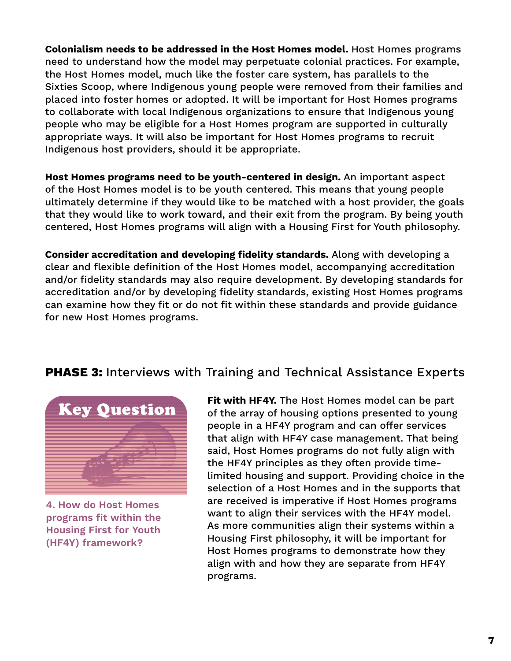**Colonialism needs to be addressed in the Host Homes model.** Host Homes programs need to understand how the model may perpetuate colonial practices. For example, the Host Homes model, much like the foster care system, has parallels to the Sixties Scoop, where Indigenous young people were removed from their families and placed into foster homes or adopted. It will be important for Host Homes programs to collaborate with local Indigenous organizations to ensure that Indigenous young people who may be eligible for a Host Homes program are supported in culturally appropriate ways. It will also be important for Host Homes programs to recruit Indigenous host providers, should it be appropriate.

**Host Homes programs need to be youth-centered in design.** An important aspect of the Host Homes model is to be youth centered. This means that young people ultimately determine if they would like to be matched with a host provider, the goals that they would like to work toward, and their exit from the program. By being youth centered, Host Homes programs will align with a Housing First for Youth philosophy.

**Consider accreditation and developing fidelity standards.** Along with developing a clear and flexible definition of the Host Homes model, accompanying accreditation and/or fidelity standards may also require development. By developing standards for accreditation and/or by developing fidelity standards, existing Host Homes programs can examine how they fit or do not fit within these standards and provide guidance for new Host Homes programs.

#### **PHASE 3: Interviews with Training and Technical Assistance Experts**



**4. How do Host Homes programs fit within the Housing First for Youth (HF4Y) framework?**

**Fit with HF4Y.** The Host Homes model can be part of the array of housing options presented to young people in a HF4Y program and can offer services that align with HF4Y case management. That being said, Host Homes programs do not fully align with the HF4Y principles as they often provide timelimited housing and support. Providing choice in the selection of a Host Homes and in the supports that are received is imperative if Host Homes programs want to align their services with the HF4Y model. As more communities align their systems within a Housing First philosophy, it will be important for Host Homes programs to demonstrate how they align with and how they are separate from HF4Y programs.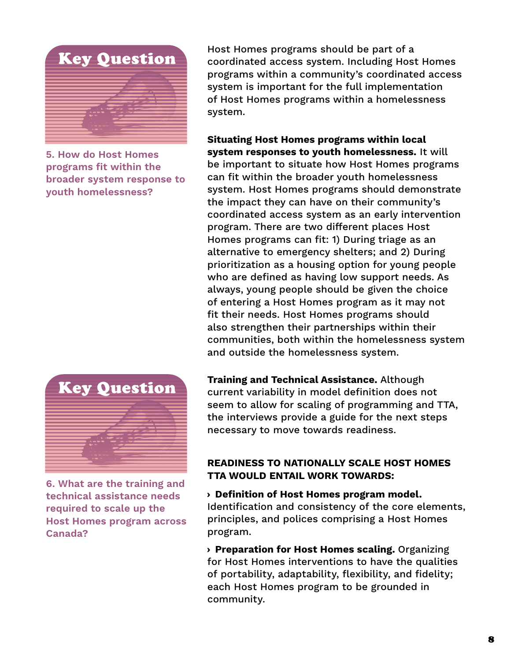

**5. How do Host Homes programs fit within the broader system response to youth homelessness?**

Host Homes programs should be part of a coordinated access system. Including Host Homes programs within a community's coordinated access system is important for the full implementation of Host Homes programs within a homelessness system.

**Situating Host Homes programs within local system responses to youth homelessness.** It will be important to situate how Host Homes programs can fit within the broader youth homelessness system. Host Homes programs should demonstrate the impact they can have on their community's coordinated access system as an early intervention program. There are two different places Host Homes programs can fit: 1) During triage as an alternative to emergency shelters; and 2) During prioritization as a housing option for young people who are defined as having low support needs. As always, young people should be given the choice of entering a Host Homes program as it may not fit their needs. Host Homes programs should also strengthen their partnerships within their communities, both within the homelessness system and outside the homelessness system.



**6. What are the training and technical assistance needs required to scale up the Host Homes program across Canada?**

**Training and Technical Assistance.** Although current variability in model definition does not seem to allow for scaling of programming and TTA, the interviews provide a guide for the next steps necessary to move towards readiness.

#### **READINESS TO NATIONALLY SCALE HOST HOMES TTA WOULD ENTAIL WORK TOWARDS:**

› **Definition of Host Homes program model.** Identification and consistency of the core elements, principles, and polices comprising a Host Homes program.

› **Preparation for Host Homes scaling.** Organizing for Host Homes interventions to have the qualities of portability, adaptability, flexibility, and fidelity; each Host Homes program to be grounded in community.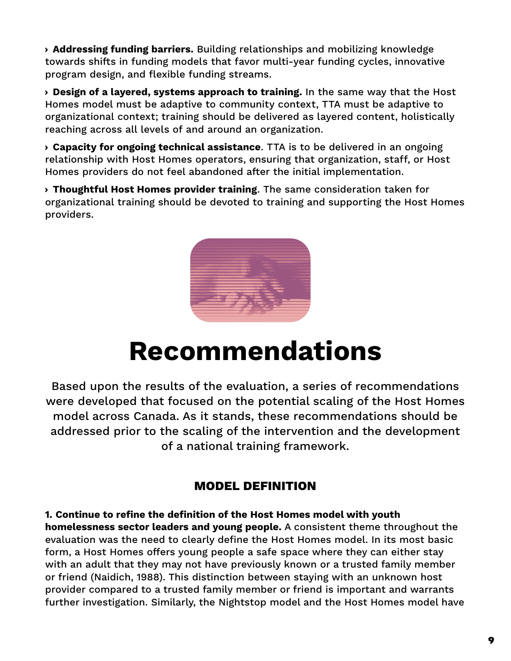› **Addressing funding barriers.** Building relationships and mobilizing knowledge towards shifts in funding models that favor multi-year funding cycles, innovative program design, and flexible funding streams.

› **Design of a layered, systems approach to training.** In the same way that the Host Homes model must be adaptive to community context, TTA must be adaptive to organizational context; training should be delivered as layered content, holistically reaching across all levels of and around an organization.

› **Capacity for ongoing technical assistance**. TTA is to be delivered in an ongoing relationship with Host Homes operators, ensuring that organization, staff, or Host Homes providers do not feel abandoned after the initial implementation.

› **Thoughtful Host Homes provider training**. The same consideration taken for organizational training should be devoted to training and supporting the Host Homes providers.



### **Recommendations**

Based upon the results of the evaluation, a series of recommendations were developed that focused on the potential scaling of the Host Homes model across Canada. As it stands, these recommendations should be addressed prior to the scaling of the intervention and the development of a national training framework.

#### **MODEL DEFINITION**

**1. Continue to refine the definition of the Host Homes model with youth homelessness sector leaders and young people.** A consistent theme throughout the evaluation was the need to clearly define the Host Homes model. In its most basic form, a Host Homes offers young people a safe space where they can either stay with an adult that they may not have previously known or a trusted family member or friend (Naidich, 1988). This distinction between staying with an unknown host provider compared to a trusted family member or friend is important and warrants further investigation. Similarly, the Nightstop model and the Host Homes model have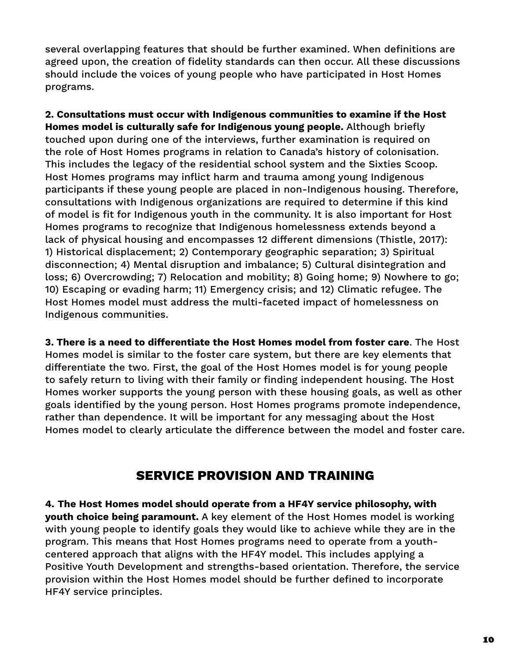several overlapping features that should be further examined. When definitions are agreed upon, the creation of fidelity standards can then occur. All these discussions should include the voices of young people who have participated in Host Homes programs.

**2. Consultations must occur with Indigenous communities to examine if the Host Homes model is culturally safe for Indigenous young people.** Although briefly touched upon during one of the interviews, further examination is required on the role of Host Homes programs in relation to Canada's history of colonisation. This includes the legacy of the residential school system and the Sixties Scoop. Host Homes programs may inflict harm and trauma among young Indigenous participants if these young people are placed in non-Indigenous housing. Therefore, consultations with Indigenous organizations are required to determine if this kind of model is fit for Indigenous youth in the community. It is also important for Host Homes programs to recognize that Indigenous homelessness extends beyond a lack of physical housing and encompasses 12 different dimensions (Thistle, 2017): 1) Historical displacement; 2) Contemporary geographic separation; 3) Spiritual disconnection; 4) Mental disruption and imbalance; 5) Cultural disintegration and loss; 6) Overcrowding; 7) Relocation and mobility; 8) Going home; 9) Nowhere to go; 10) Escaping or evading harm; 11) Emergency crisis; and 12) Climatic refugee. The Host Homes model must address the multi-faceted impact of homelessness on Indigenous communities.

**3. There is a need to differentiate the Host Homes model from foster care**. The Host Homes model is similar to the foster care system, but there are key elements that differentiate the two. First, the goal of the Host Homes model is for young people to safely return to living with their family or finding independent housing. The Host Homes worker supports the young person with these housing goals, as well as other goals identified by the young person. Host Homes programs promote independence, rather than dependence. It will be important for any messaging about the Host Homes model to clearly articulate the difference between the model and foster care.

#### **SERVICE PROVISION AND TRAINING**

**4. The Host Homes model should operate from a HF4Y service philosophy, with youth choice being paramount.** A key element of the Host Homes model is working with young people to identify goals they would like to achieve while they are in the program. This means that Host Homes programs need to operate from a youthcentered approach that aligns with the HF4Y model. This includes applying a Positive Youth Development and strengths-based orientation. Therefore, the service provision within the Host Homes model should be further defined to incorporate HF4Y service principles.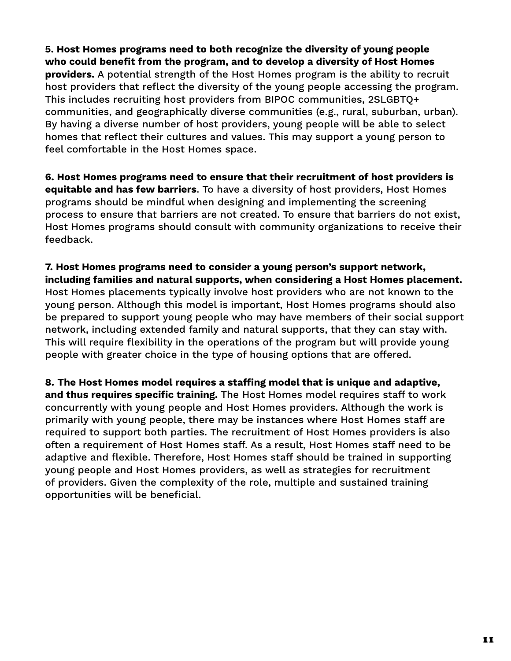**5. Host Homes programs need to both recognize the diversity of young people who could benefit from the program, and to develop a diversity of Host Homes providers.** A potential strength of the Host Homes program is the ability to recruit host providers that reflect the diversity of the young people accessing the program. This includes recruiting host providers from BIPOC communities, 2SLGBTQ+ communities, and geographically diverse communities (e.g., rural, suburban, urban). By having a diverse number of host providers, young people will be able to select homes that reflect their cultures and values. This may support a young person to feel comfortable in the Host Homes space.

**6. Host Homes programs need to ensure that their recruitment of host providers is equitable and has few barriers**. To have a diversity of host providers, Host Homes programs should be mindful when designing and implementing the screening process to ensure that barriers are not created. To ensure that barriers do not exist, Host Homes programs should consult with community organizations to receive their feedback.

**7. Host Homes programs need to consider a young person's support network, including families and natural supports, when considering a Host Homes placement.** Host Homes placements typically involve host providers who are not known to the young person. Although this model is important, Host Homes programs should also be prepared to support young people who may have members of their social support network, including extended family and natural supports, that they can stay with. This will require flexibility in the operations of the program but will provide young people with greater choice in the type of housing options that are offered.

**8. The Host Homes model requires a staffing model that is unique and adaptive, and thus requires specific training.** The Host Homes model requires staff to work concurrently with young people and Host Homes providers. Although the work is primarily with young people, there may be instances where Host Homes staff are required to support both parties. The recruitment of Host Homes providers is also often a requirement of Host Homes staff. As a result, Host Homes staff need to be adaptive and flexible. Therefore, Host Homes staff should be trained in supporting young people and Host Homes providers, as well as strategies for recruitment of providers. Given the complexity of the role, multiple and sustained training opportunities will be beneficial.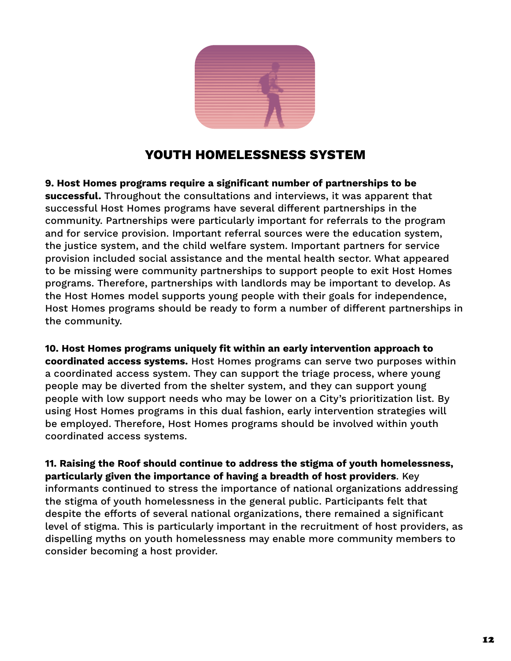

#### **YOUTH HOMELESSNESS SYSTEM**

**9. Host Homes programs require a significant number of partnerships to be successful.** Throughout the consultations and interviews, it was apparent that successful Host Homes programs have several different partnerships in the community. Partnerships were particularly important for referrals to the program and for service provision. Important referral sources were the education system, the justice system, and the child welfare system. Important partners for service provision included social assistance and the mental health sector. What appeared to be missing were community partnerships to support people to exit Host Homes programs. Therefore, partnerships with landlords may be important to develop. As the Host Homes model supports young people with their goals for independence, Host Homes programs should be ready to form a number of different partnerships in the community.

**10. Host Homes programs uniquely fit within an early intervention approach to coordinated access systems.** Host Homes programs can serve two purposes within a coordinated access system. They can support the triage process, where young people may be diverted from the shelter system, and they can support young people with low support needs who may be lower on a City's prioritization list. By using Host Homes programs in this dual fashion, early intervention strategies will be employed. Therefore, Host Homes programs should be involved within youth coordinated access systems.

**11. Raising the Roof should continue to address the stigma of youth homelessness, particularly given the importance of having a breadth of host providers**. Key informants continued to stress the importance of national organizations addressing the stigma of youth homelessness in the general public. Participants felt that despite the efforts of several national organizations, there remained a significant level of stigma. This is particularly important in the recruitment of host providers, as dispelling myths on youth homelessness may enable more community members to consider becoming a host provider.